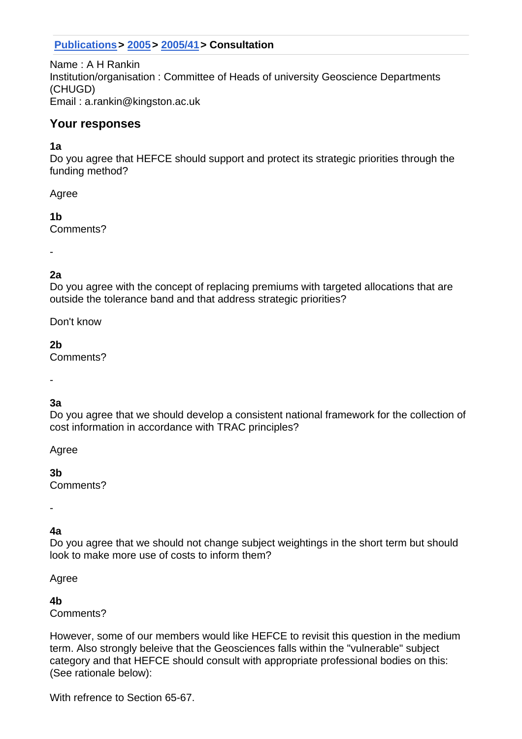## **Publications> 2005> 2005/41> Consultation**

Name : A H Rankin Institution/organisation : Committee of Heads of university Geoscience Departments (CHUGD) Email : a.rankin@kingston.ac.uk

## **Your responses**

#### **1a**

Do you agree that HEFCE should support and protect its strategic priorities through the funding method?

Agree

**1b** Comments?

-

# **2a**

Do you agree with the concept of replacing premiums with targeted allocations that are outside the tolerance band and that address strategic priorities?

Don't know

**2b**

Comments?

-

# **3a**

Do you agree that we should develop a consistent national framework for the collection of cost information in accordance with TRAC principles?

Agree

**3b**

Comments?

-

# **4a**

Do you agree that we should not change subject weightings in the short term but should look to make more use of costs to inform them?

Agree

### **4b**

Comments?

However, some of our members would like HEFCE to revisit this question in the medium term. Also strongly beleive that the Geosciences falls within the "vulnerable" subject category and that HEFCE should consult with appropriate professional bodies on this: (See rationale below):

With refrence to Section 65-67.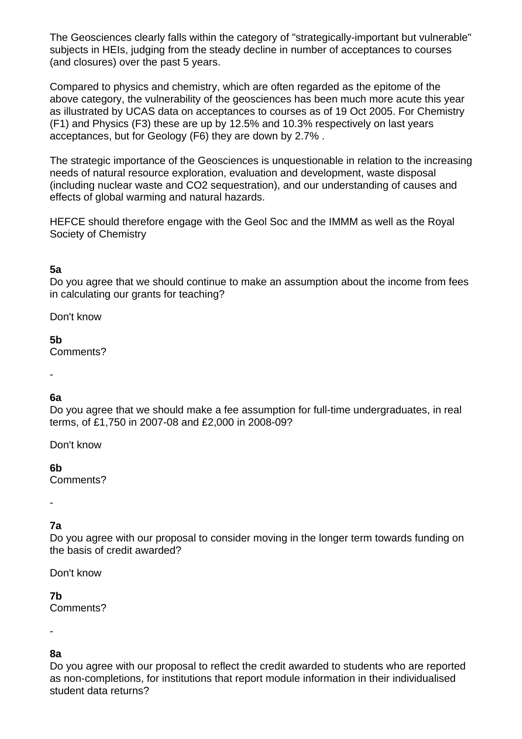The Geosciences clearly falls within the category of "strategically-important but vulnerable" subjects in HEIs, judging from the steady decline in number of acceptances to courses (and closures) over the past 5 years.

Compared to physics and chemistry, which are often regarded as the epitome of the above category, the vulnerability of the geosciences has been much more acute this year as illustrated by UCAS data on acceptances to courses as of 19 Oct 2005. For Chemistry (F1) and Physics (F3) these are up by 12.5% and 10.3% respectively on last years acceptances, but for Geology (F6) they are down by 2.7% .

The strategic importance of the Geosciences is unquestionable in relation to the increasing needs of natural resource exploration, evaluation and development, waste disposal (including nuclear waste and CO2 sequestration), and our understanding of causes and effects of global warming and natural hazards.

HEFCE should therefore engage with the Geol Soc and the IMMM as well as the Royal Society of Chemistry

#### **5a**

Do you agree that we should continue to make an assumption about the income from fees in calculating our grants for teaching?

Don't know

#### **5b**

Comments?

#### -

### **6a**

Do you agree that we should make a fee assumption for full-time undergraduates, in real terms, of £1,750 in 2007-08 and £2,000 in 2008-09?

Don't know

**6b**

Comments?

-

#### **7a**

Do you agree with our proposal to consider moving in the longer term towards funding on the basis of credit awarded?

Don't know

#### **7b**

Comments?

-

#### **8a**

Do you agree with our proposal to reflect the credit awarded to students who are reported as non-completions, for institutions that report module information in their individualised student data returns?